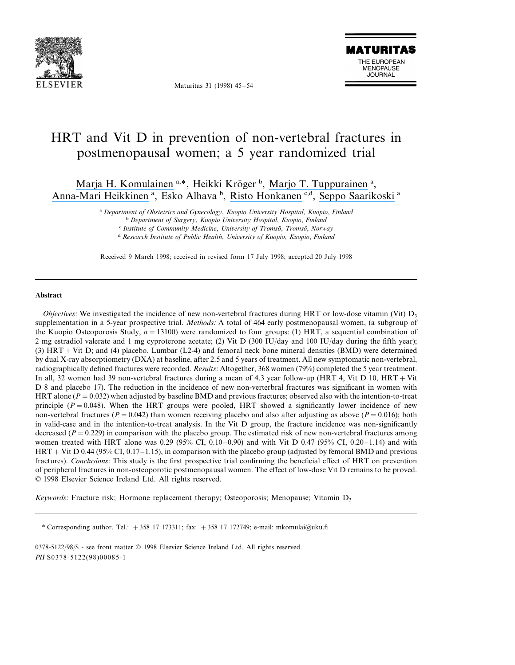

Maturitas 31 (1998) 45–54



# HRT and Vit D in prevention of non-vertebral fractures in postmenopausal women; a 5 year randomized trial

[Marja H. Komulainen](https://www.researchgate.net/profile/Marja_Komulainen?el=1_x_100&enrichId=rgreq-bf52dc1129406fa461e4417a104ddb89-XXX&enrichSource=Y292ZXJQYWdlOzI0NDIwMzI4O0FTOjEwMzIxNzExNTQzNTAyOUAxNDAxNjIwMjg2ODE0) a,\*, Heikki Kröger <sup>b</sup>, [Marjo T. Tuppurainen](https://www.researchgate.net/profile/Marjo_Tuppurainen?el=1_x_100&enrichId=rgreq-bf52dc1129406fa461e4417a104ddb89-XXX&enrichSource=Y292ZXJQYWdlOzI0NDIwMzI4O0FTOjEwMzIxNzExNTQzNTAyOUAxNDAxNjIwMjg2ODE0) a, [Anna-Mari Heikkinen](https://www.researchgate.net/profile/Anna_Mari_Heikkinen?el=1_x_100&enrichId=rgreq-bf52dc1129406fa461e4417a104ddb89-XXX&enrichSource=Y292ZXJQYWdlOzI0NDIwMzI4O0FTOjEwMzIxNzExNTQzNTAyOUAxNDAxNjIwMjg2ODE0)<sup>a</sup>, Esko Alhava<sup>b</sup>, [Risto Honkanen](https://www.researchgate.net/profile/Risto_Honkanen?el=1_x_100&enrichId=rgreq-bf52dc1129406fa461e4417a104ddb89-XXX&enrichSource=Y292ZXJQYWdlOzI0NDIwMzI4O0FTOjEwMzIxNzExNTQzNTAyOUAxNDAxNjIwMjg2ODE0)<sup>c,d</sup>, [Seppo Saarikoski](https://www.researchgate.net/profile/Seppo_Saarikoski?el=1_x_100&enrichId=rgreq-bf52dc1129406fa461e4417a104ddb89-XXX&enrichSource=Y292ZXJQYWdlOzI0NDIwMzI4O0FTOjEwMzIxNzExNTQzNTAyOUAxNDAxNjIwMjg2ODE0)<sup>a</sup>

> <sup>a</sup> Department of Obstetrics and Gynecology, *Kuopio University Hospital, Kuopio, Finland* <sup>b</sup> *Department of Surgery*, *Kuopio Uni*6*ersity Hospital*, *Kuopio*, *Finland*

<sup>c</sup> *Institute of Community Medicine*, *Uni*6*ersity of Tromso¨*, *Tromso¨*, *Norway*

<sup>d</sup> Research Institute of Public Health, University of Kuopio, Kuopio, Finland

Received 9 March 1998; received in revised form 17 July 1998; accepted 20 July 1998

## **Abstract**

*Objectives*: We investigated the incidence of new non-vertebral fractures during HRT or low-dose vitamin (Vit)  $D_3$ supplementation in a 5-year prospective trial. *Methods*: A total of 464 early postmenopausal women, (a subgroup of the Kuopio Osteoporosis Study, *n*=13100) were randomized to four groups: (1) HRT, a sequential combination of 2 mg estradiol valerate and 1 mg cyproterone acetate; (2) Vit D (300 IU/day and 100 IU/day during the fifth year); (3) HRT+Vit D; and (4) placebo. Lumbar (L2-4) and femoral neck bone mineral densities (BMD) were determined by dual X-ray absorptiometry (DXA) at baseline, after 2.5 and 5 years of treatment. All new symptomatic non-vertebral, radiographically defined fractures were recorded. *Results*: Altogether, 368 women (79%) completed the 5 year treatment. In all, 32 women had 39 non-vertebral fractures during a mean of 4.3 year follow-up (HRT 4, Vit D 10, HRT+Vit D 8 and placebo 17). The reduction in the incidence of new non-verterbral fractures was significant in women with HRT alone  $(P = 0.032)$  when adjusted by baseline BMD and previous fractures; observed also with the intention-to-treat principle  $(P = 0.048)$ . When the HRT groups were pooled, HRT showed a significantly lower incidence of new non-vertebral fractures ( $P = 0.042$ ) than women receiving placebo and also after adjusting as above ( $P = 0.016$ ); both in valid-case and in the intention-to-treat analysis. In the Vit D group, the fracture incidence was non-significantly decreased  $(P = 0.229)$  in comparison with the placebo group. The estimated risk of new non-vertebral fractures among women treated with HRT alone was 0.29 (95% CI, 0.10–0.90) and with Vit D 0.47 (95% CI, 0.20–1.14) and with  $HRT+V$ it D 0.44 (95% CI, 0.17–1.15), in comparison with the placebo group (adjusted by femoral BMD and previous fractures). *Conclusions*: This study is the first prospective trial confirming the beneficial effect of HRT on prevention of peripheral fractures in non-osteoporotic postmenopausal women. The effect of low-dose Vit D remains to be proved. © 1998 Elsevier Science Ireland Ltd. All rights reserved.

*Keywords:* Fracture risk; Hormone replacement therapy; Osteoporosis; Menopause; Vitamin D<sub>3</sub>

\* Corresponding author. Tel.: +358 17 173311; fax: +358 17 172749; e-mail: mkomulai@uku.fi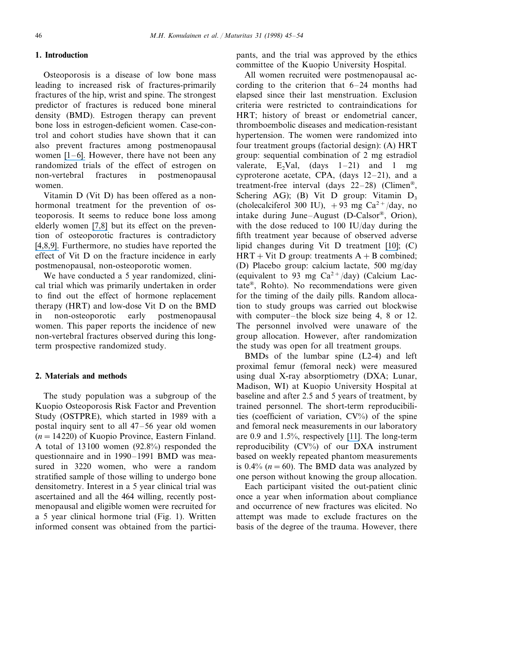# **1. Introduction**

Osteoporosis is a disease of low bone mass leading to increased risk of fractures-primarily fractures of the hip, wrist and spine. The strongest predictor of fractures is reduced bone mineral density (BMD). Estrogen therapy can prevent bone loss in estrogen-deficient women. Case-control and cohort studies have shown that it can also prevent fractures among postmenopausal women  $[1-6]$  $[1-6]$  $[1-6]$ . However, there have not been any randomized trials of the effect of estrogen on non-vertebral fractures in postmenopausal women.

Vitamin D (Vit D) has been offered as a nonhormonal treatment for the prevention of osteoporosis. It seems to reduce bone loss among elderly women [\[7,8\]](https://www.researchgate.net/publication/21823498_Vitamin_D_3_and_Calcium_to_Prevent_Hip_Fractures_in_Elderly_Women?el=1_x_8&enrichId=rgreq-bf52dc1129406fa461e4417a104ddb89-XXX&enrichSource=Y292ZXJQYWdlOzI0NDIwMzI4O0FTOjEwMzIxNzExNTQzNTAyOUAxNDAxNjIwMjg2ODE0) but its effect on the prevention of osteoporotic fractures is contradictory [\[4,8,9\].](https://www.researchgate.net/publication/21823498_Vitamin_D_3_and_Calcium_to_Prevent_Hip_Fractures_in_Elderly_Women?el=1_x_8&enrichId=rgreq-bf52dc1129406fa461e4417a104ddb89-XXX&enrichSource=Y292ZXJQYWdlOzI0NDIwMzI4O0FTOjEwMzIxNzExNTQzNTAyOUAxNDAxNjIwMjg2ODE0) Furthermore, no studies have reported the effect of Vit D on the fracture incidence in early postmenopausal, non-osteoporotic women.

We have conducted a 5 year randomized, clinical trial which was primarily undertaken in order to find out the effect of hormone replacement therapy (HRT) and low-dose Vit D on the BMD in non-osteoporotic early postmenopausal women. This paper reports the incidence of new non-vertebral fractures observed during this longterm prospective randomized study.

## **2. Materials and methods**

The study population was a subgroup of the Kuopio Osteoporosis Risk Factor and Prevention Study (OSTPRE), which started in 1989 with a postal inquiry sent to all 47–56 year old women (*n*=14220) of Kuopio Province, Eastern Finland. A total of 13100 women (92.8%) responded the questionnaire and in 1990–1991 BMD was measured in 3220 women, who were a random stratified sample of those willing to undergo bone densitometry. Interest in a 5 year clinical trial was ascertained and all the 464 willing, recently postmenopausal and eligible women were recruited for a 5 year clinical hormone trial (Fig. 1). Written informed consent was obtained from the participants, and the trial was approved by the ethics committee of the Kuopio University Hospital.

All women recruited were postmenopausal according to the criterion that 6–24 months had elapsed since their last menstruation. Exclusion criteria were restricted to contraindications for HRT; history of breast or endometrial cancer, thromboembolic diseases and medication-resistant hypertension. The women were randomized into four treatment groups (factorial design): (A) HRT group: sequential combination of 2 mg estradiol valerate, E<sub>2</sub>Val, (days  $1-21$ ) and 1 mg cyproterone acetate, CPA, (days 12–21), and a treatment-free interval (days 22–28) (Climen®, Schering AG); (B) Vit D group: Vitamin  $D_3$ (cholecalciferol 300 IU),  $+93$  mg Ca<sup>2+</sup>/day, no intake during June–August (D-Calsor®, Orion), with the dose reduced to 100 IU/day during the fifth treatment year because of observed adverse lipid changes during Vit D treatment [\[10\]](https://www.researchgate.net/publication/15531975_Does_vitamin_D3_have_negative_effects_on_serum_levels_of_lipids_A_follow-up_study_with_a_sequential_combination_of_estradiol_valerate_and_cyproterone_acetate_andor_vitamin_D3?el=1_x_8&enrichId=rgreq-bf52dc1129406fa461e4417a104ddb89-XXX&enrichSource=Y292ZXJQYWdlOzI0NDIwMzI4O0FTOjEwMzIxNzExNTQzNTAyOUAxNDAxNjIwMjg2ODE0); (C)  $HRT + Vit D group: treatments A + B combined;$ (D) Placebo group: calcium lactate, 500 mg/day (equivalent to 93 mg  $Ca^{2+}/day$ ) (Calcium Lactate®, Rohto). No recommendations were given for the timing of the daily pills. Random allocation to study groups was carried out blockwise with computer–the block size being 4, 8 or 12. The personnel involved were unaware of the group allocation. However, after randomization the study was open for all treatment groups.

BMDs of the lumbar spine (L2-4) and left proximal femur (femoral neck) were measured using dual X-ray absorptiometry (DXA; Lunar, Madison, WI) at Kuopio University Hospital at baseline and after 2.5 and 5 years of treatment, by trained personnel. The short-term reproducibilities (coefficient of variation,  $CV\%$ ) of the spine and femoral neck measurements in our laboratory are 0.9 and 1.5%, respectively [\[11\]](https://www.researchgate.net/publication/21527633_Dual-energy_X-ray_absorptiometry_in_normal_women_A_cross-sectional_study_of_717_finnish_volunteers?el=1_x_8&enrichId=rgreq-bf52dc1129406fa461e4417a104ddb89-XXX&enrichSource=Y292ZXJQYWdlOzI0NDIwMzI4O0FTOjEwMzIxNzExNTQzNTAyOUAxNDAxNjIwMjg2ODE0). The long-term reproducibility (CV%) of our DXA instrument based on weekly repeated phantom measurements is  $0.4\%$  ( $n = 60$ ). The BMD data was analyzed by one person without knowing the group allocation.

Each participant visited the out-patient clinic once a year when information about compliance and occurrence of new fractures was elicited. No attempt was made to exclude fractures on the basis of the degree of the trauma. However, there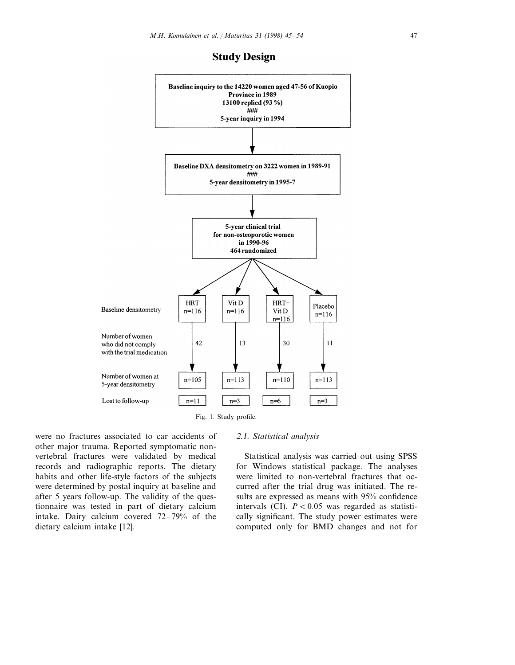

Fig. 1. Study profile.

were no fractures associated to car accidents of other major trauma. Reported symptomatic nonvertebral fractures were validated by medical records and radiographic reports. The dietary habits and other life-style factors of the subjects were determined by postal inquiry at baseline and after 5 years follow-up. The validity of the questionnaire was tested in part of dietary calcium intake. Dairy calcium covered 72–79% of the dietary calcium intake [12].

#### 2.1. *Statistical analysis*

Statistical analysis was carried out using SPSS for Windows statistical package. The analyses were limited to non-vertebral fractures that occurred after the trial drug was initiated. The results are expressed as means with 95% confidence intervals (CI).  $P < 0.05$  was regarded as statistically significant. The study power estimates were computed only for BMD changes and not for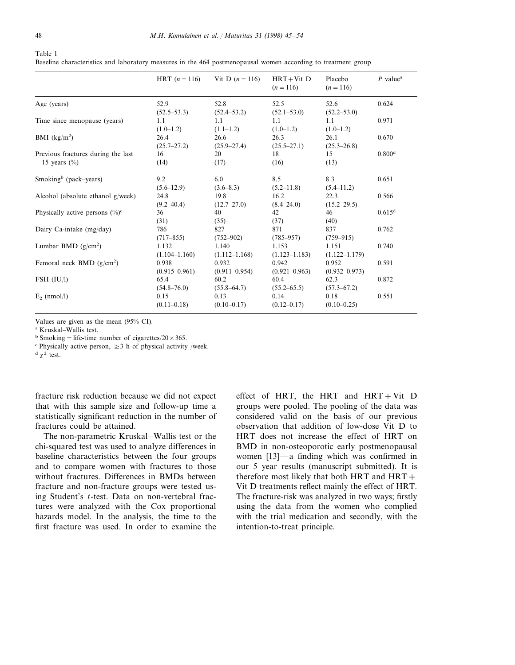Table 1

|                                                        | HRT $(n = 116)$            | Vit D $(n = 116)$          | $HRT+V$ it D<br>$(n = 116)$ | Placebo<br>$(n = 116)$     | $P$ value <sup>a</sup> |
|--------------------------------------------------------|----------------------------|----------------------------|-----------------------------|----------------------------|------------------------|
| Age (years)                                            | 52.9<br>$(52.5 - 53.3)$    | 52.8<br>$(52.4 - 53.2)$    | 52.5<br>$(52.1 - 53.0)$     | 52.6<br>$(52.2 - 53.0)$    | 0.624                  |
| Time since menopause (years)                           | 1.1<br>$(1.0-1.2)$         | 1.1<br>$(1.1-1.2)$         | 1.1<br>$(1.0-1.2)$          | 1.1<br>$(1.0-1.2)$         | 0.971                  |
| BMI $(kg/m2)$                                          | 26.4<br>$(25.7 - 27.2)$    | 26.6<br>$(25.9 - 27.4)$    | 26.3<br>$(25.5 - 27.1)$     | 26.1<br>$(25.3 - 26.8)$    | 0.670                  |
| Previous fractures during the last<br>15 years $(\% )$ | 16<br>(14)                 | 20<br>(17)                 | 18<br>(16)                  | 15<br>(13)                 | 0.800 <sup>d</sup>     |
| Smoking <sup>b</sup> (pack–years)                      | 9.2<br>$(5.6 - 12.9)$      | 6.0<br>$(3.6 - 8.3)$       | 8.5<br>$(5.2 - 11.8)$       | 8.3<br>$(5.4 - 11.2)$      | 0.651                  |
| Alcohol (absolute ethanol g/week)                      | 24.8<br>$(9.2 - 40.4)$     | 19.8<br>$(12.7 - 27.0)$    | 16.2<br>$(8.4 - 24.0)$      | 22.3<br>$(15.2 - 29.5)$    | 0.566                  |
| Physically active persons $(\%)^c$                     | 36<br>(31)                 | 40<br>(35)                 | 42<br>(37)                  | 46<br>(40)                 | 0.615 <sup>d</sup>     |
| Dairy Ca-intake (mg/day)                               | 786<br>$(717 - 855)$       | 827<br>$(752 - 902)$       | 871<br>$(785 - 957)$        | 837<br>$(759 - 915)$       | 0.762                  |
| Lumbar BMD $(g/cm2)$                                   | 1.132<br>$(1.104 - 1.160)$ | 1.140<br>$(1.112 - 1.168)$ | 1.153<br>$(1.123 - 1.183)$  | 1.151<br>$(1.122 - 1.179)$ | 0.740                  |
| Femoral neck BMD $(g/cm^2)$                            | 0.938<br>$(0.915 - 0.961)$ | 0.932<br>$(0.911 - 0.954)$ | 0.942<br>$(0.921 - 0.963)$  | 0.952<br>$(0.932 - 0.973)$ | 0.591                  |
| FSH (IU/l)                                             | 65.4<br>$(54.8 - 76.0)$    | 60.2<br>$(55.8 - 64.7)$    | 60.4<br>$(55.2 - 65.5)$     | 62.3<br>$(57.3 - 67.2)$    | 0.872                  |
| $E_2$ (nmol/l)                                         | 0.15                       | 0.13                       | 0.14                        | 0.18                       | 0.551                  |

 $(0.11-0.18)$   $(0.10-0.17)$   $(0.12-0.17)$   $(0.10-0.25)$ 

|  |  | Baseline characteristics and laboratory measures in the 464 postmenopausal women according to treatment group |  |  |
|--|--|---------------------------------------------------------------------------------------------------------------|--|--|
|  |  |                                                                                                               |  |  |

Values are given as the mean (95% CI).

<sup>a</sup> Kruskal–Wallis test.

<sup>b</sup> Smoking = life-time number of cigarettes/20 $\times$ 365.

 $\text{c}$  Physically active person,  $\geq$  3 h of physical activity /week.

 $d \gamma^2$  test.

fracture risk reduction because we did not expect that with this sample size and follow-up time a statistically significant reduction in the number of fractures could be attained.

The non-parametric Kruskal–Wallis test or the chi-squared test was used to analyze differences in baseline characteristics between the four groups and to compare women with fractures to those without fractures. Differences in BMDs between fracture and non-fracture groups were tested using Student's *t*-test. Data on non-vertebral fractures were analyzed with the Cox proportional hazards model. In the analysis, the time to the first fracture was used. In order to examine the

effect of HRT, the HRT and  $HRT + Vit$  D groups were pooled. The pooling of the data was considered valid on the basis of our previous observation that addition of low-dose Vit D to HRT does not increase the effect of HRT on BMD in non-osteoporotic early postmenopausal women [13]—a finding which was confirmed in our 5 year results (manuscript submitted). It is therefore most likely that both HRT and HRT  $+$ Vit D treatments reflect mainly the effect of HRT. The fracture-risk was analyzed in two ways; firstly using the data from the women who complied with the trial medication and secondly, with the intention-to-treat principle.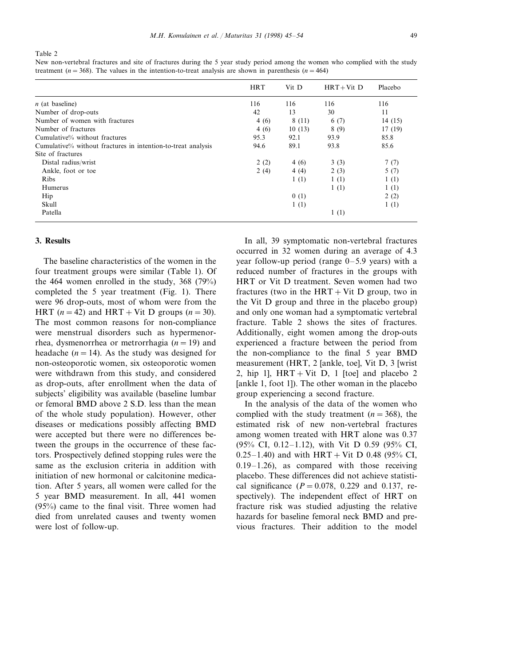Table 2

| New non-vertebral fractures and site of fractures during the 5 year study period among the women who complied with the study |  |  |  |  |  |  |  |
|------------------------------------------------------------------------------------------------------------------------------|--|--|--|--|--|--|--|
| treatment ( $n = 368$ ). The values in the intention-to-treat analysis are shown in parenthesis ( $n = 464$ )                |  |  |  |  |  |  |  |

|                                                              | <b>HRT</b> | Vit D  | $HRT+V$ it D | Placebo |
|--------------------------------------------------------------|------------|--------|--------------|---------|
| $n$ (at baseline)                                            | 116        | 116    | 116          | 116     |
| Number of drop-outs                                          | 42         | 13     | 30           | 11      |
| Number of women with fractures                               | 4(6)       | 8(11)  | 6 (7)        | 14(15)  |
| Number of fractures                                          | 4(6)       | 10(13) | 8(9)         | 17(19)  |
| Cumulative% without fractures                                | 95.3       | 92.1   | 93.9         | 85.8    |
| Cumulative% without fractures in intention-to-treat analysis | 94.6       | 89.1   | 93.8         | 85.6    |
| Site of fractures                                            |            |        |              |         |
| Distal radius/wrist                                          | 2(2)       | 4(6)   | 3(3)         | 7(7)    |
| Ankle, foot or toe                                           | 2(4)       | 4(4)   | 2(3)         | 5(7)    |
| <b>Ribs</b>                                                  |            | 1(1)   | 1(1)         | 1(1)    |
| Humerus                                                      |            |        | 1(1)         | 1(1)    |
| Hip                                                          |            | 0(1)   |              | 2(2)    |
| Skull                                                        |            | 1(1)   |              | 1(1)    |
| Patella                                                      |            |        | 1(1)         |         |

# **3. Results**

The baseline characteristics of the women in the four treatment groups were similar (Table 1). Of the 464 women enrolled in the study, 368 (79%) completed the 5 year treatment (Fig. 1). There were 96 drop-outs, most of whom were from the HRT ( $n = 42$ ) and HRT + Vit D groups ( $n = 30$ ). The most common reasons for non-compliance were menstrual disorders such as hypermenorrhea, dysmenorrhea or metrorrhagia (*n*=19) and headache ( $n = 14$ ). As the study was designed for non-osteoporotic women, six osteoporotic women were withdrawn from this study, and considered as drop-outs, after enrollment when the data of subjects' eligibility was available (baseline lumbar or femoral BMD above 2 S.D. less than the mean of the whole study population). However, other diseases or medications possibly affecting BMD were accepted but there were no differences between the groups in the occurrence of these factors. Prospectively defined stopping rules were the same as the exclusion criteria in addition with initiation of new hormonal or calcitonine medication. After 5 years, all women were called for the 5 year BMD measurement. In all, 441 women (95%) came to the final visit. Three women had died from unrelated causes and twenty women were lost of follow-up.

In all, 39 symptomatic non-vertebral fractures occurred in 32 women during an average of 4.3 year follow-up period (range 0–5.9 years) with a reduced number of fractures in the groups with HRT or Vit D treatment. Seven women had two fractures (two in the  $HRT + Vit$  D group, two in the Vit D group and three in the placebo group) and only one woman had a symptomatic vertebral fracture. Table 2 shows the sites of fractures. Additionally, eight women among the drop-outs experienced a fracture between the period from the non-compliance to the final 5 year BMD measurement (HRT, 2 [ankle, toe], Vit D, 3 [wrist 2, hip 1],  $HRT + Vit$  D, 1 [toe] and placebo 2 [ankle 1, foot 1]). The other woman in the placebo group experiencing a second fracture.

In the analysis of the data of the women who complied with the study treatment  $(n=368)$ , the estimated risk of new non-vertebral fractures among women treated with HRT alone was 0.37 (95% CI, 0.12–1.12), with Vit D 0.59 (95% CI, 0.25–1.40) and with HRT + Vit D 0.48 (95% CI, 0.19–1.26), as compared with those receiving placebo. These differences did not achieve statistical significance  $(P = 0.078, 0.229, 0.0137, 0.0137)$ spectively). The independent effect of HRT on fracture risk was studied adjusting the relative hazards for baseline femoral neck BMD and previous fractures. Their addition to the model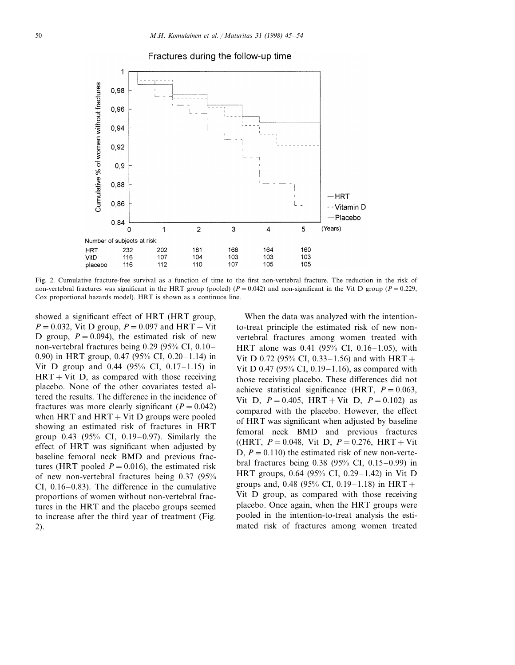

Fractures during the follow-up time

Fig. 2. Cumulative fracture-free survival as a function of time to the first non-vertebral fracture. The reduction in the risk of non-vertebral fractures was significant in the HRT group (pooled) ( $P = 0.042$ ) and non-significant in the Vit D group ( $P = 0.229$ , Cox proportional hazards model). HRT is shown as a continuos line.

showed a significant effect of HRT (HRT group, *P* = 0.032, Vit D group, *P* = 0.097 and HRT + Vit D group,  $P = 0.094$ ), the estimated risk of new non-vertebral fractures being 0.29 (95% CI, 0.10– 0.90) in HRT group, 0.47 (95% CI, 0.20–1.14) in Vit D group and 0.44 (95% CI, 0.17–1.15) in  $HRT + Vit$  D, as compared with those receiving placebo. None of the other covariates tested altered the results. The difference in the incidence of fractures was more clearly significant  $(P = 0.042)$ when HRT and  $HRT + Vit$  D groups were pooled showing an estimated risk of fractures in HRT group 0.43 (95% CI, 0.19–0.97). Similarly the effect of HRT was significant when adjusted by baseline femoral neck BMD and previous fractures (HRT pooled  $P = 0.016$ ), the estimated risk of new non-vertebral fractures being 0.37 (95% CI, 0.16–0.83). The difference in the cumulative proportions of women without non-vertebral fractures in the HRT and the placebo groups seemed to increase after the third year of treatment (Fig. 2).

When the data was analyzed with the intentionto-treat principle the estimated risk of new nonvertebral fractures among women treated with HRT alone was 0.41 (95% CI, 0.16–1.05), with Vit D 0.72 (95% CI, 0.33-1.56) and with HRT + Vit D 0.47 (95% CI, 0.19–1.16), as compared with those receiving placebo. These differences did not achieve statistical significance (HRT,  $P = 0.063$ , Vit D,  $P = 0.405$ , HRT + Vit D,  $P = 0.102$ ) as compared with the placebo. However, the effect of HRT was significant when adjusted by baseline femoral neck BMD and previous fractures ((HRT,  $P = 0.048$ , Vit D,  $P = 0.276$ , HRT + Vit D,  $P = 0.110$ ) the estimated risk of new non-vertebral fractures being 0.38 (95% CI, 0.15–0.99) in HRT groups, 0.64 (95% CI, 0.29–1.42) in Vit D groups and, 0.48 (95% CI, 0.19–1.18) in HRT + Vit D group, as compared with those receiving placebo. Once again, when the HRT groups were pooled in the intention-to-treat analysis the estimated risk of fractures among women treated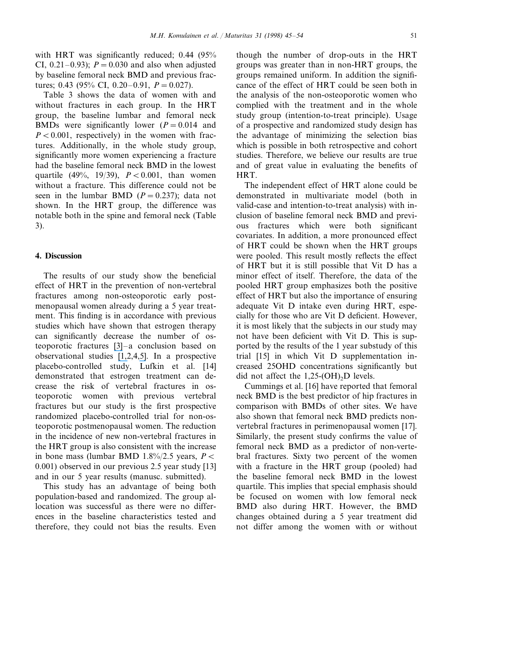with HRT was significantly reduced; 0.44 (95%) CI,  $0.21 - 0.93$ );  $P = 0.030$  and also when adjusted by baseline femoral neck BMD and previous fractures; 0.43 (95% CI, 0.20–0.91,  $P = 0.027$ ).

Table 3 shows the data of women with and without fractures in each group. In the HRT group, the baseline lumbar and femoral neck BMDs were significantly lower  $(P = 0.014$  and  $P < 0.001$ , respectively) in the women with fractures. Additionally, in the whole study group, significantly more women experiencing a fracture had the baseline femoral neck BMD in the lowest quartile (49%, 19/39),  $P < 0.001$ , than women without a fracture. This difference could not be seen in the lumbar BMD  $(P = 0.237)$ ; data not shown. In the HRT group, the difference was notable both in the spine and femoral neck (Table 3).

#### **4. Discussion**

The results of our study show the beneficial effect of HRT in the prevention of non-vertebral fractures among non-osteoporotic early postmenopausal women already during a 5 year treatment. This finding is in accordance with previous studies which have shown that estrogen therapy can significantly decrease the number of osteoporotic fractures [\[3\]](https://www.researchgate.net/publication/303483124_Diagnosis_prophylaxis_and_treatment_of_osteoporosis?el=1_x_8&enrichId=rgreq-bf52dc1129406fa461e4417a104ddb89-XXX&enrichSource=Y292ZXJQYWdlOzI0NDIwMzI4O0FTOjEwMzIxNzExNTQzNTAyOUAxNDAxNjIwMjg2ODE0)–a conclusion based on observational studies [\[1,2](https://www.researchgate.net/publication/315213007_Estrogen_Replacement_Therapy_and_Fractures_in_Older_Women?el=1_x_8&enrichId=rgreq-bf52dc1129406fa461e4417a104ddb89-XXX&enrichSource=Y292ZXJQYWdlOzI0NDIwMzI4O0FTOjEwMzIxNzExNTQzNTAyOUAxNDAxNjIwMjg2ODE0),4[,5\]](https://www.researchgate.net/publication/20794849_Hormone_Replacement_Therapy_and_the_Risk_for_First_Hip_Fracture_A_Prospective_Population-based_Cohort_Study?el=1_x_8&enrichId=rgreq-bf52dc1129406fa461e4417a104ddb89-XXX&enrichSource=Y292ZXJQYWdlOzI0NDIwMzI4O0FTOjEwMzIxNzExNTQzNTAyOUAxNDAxNjIwMjg2ODE0). In a prospective placebo-controlled study, Lufkin et al. [14] demonstrated that estrogen treatment can decrease the risk of vertebral fractures in osteoporotic women with previous vertebral fractures but our study is the first prospective randomized placebo-controlled trial for non-osteoporotic postmenopausal women. The reduction in the incidence of new non-vertebral fractures in the HRT group is also consistent with the increase in bone mass (lumbar BMD 1.8%/2.5 years,  $P \leq$ 0.001) observed in our previous 2.5 year study [13] and in our 5 year results (manusc. submitted).

This study has an advantage of being both population-based and randomized. The group allocation was successful as there were no differences in the baseline characteristics tested and therefore, they could not bias the results. Even though the number of drop-outs in the HRT groups was greater than in non-HRT groups, the groups remained uniform. In addition the significance of the effect of HRT could be seen both in the analysis of the non-osteoporotic women who complied with the treatment and in the whole study group (intention-to-treat principle). Usage of a prospective and randomized study design has the advantage of minimizing the selection bias which is possible in both retrospective and cohort studies. Therefore, we believe our results are true and of great value in evaluating the benefits of HRT.

The independent effect of HRT alone could be demonstrated in multivariate model (both in valid-case and intention-to-treat analysis) with inclusion of baseline femoral neck BMD and previous fractures which were both significant covariates. In addition, a more pronounced effect of HRT could be shown when the HRT groups were pooled. This result mostly reflects the effect of HRT but it is still possible that Vit D has a minor effect of itself. Therefore, the data of the pooled HRT group emphasizes both the positive effect of HRT but also the importance of ensuring adequate Vit D intake even during HRT, especially for those who are Vit D deficient. However, it is most likely that the subjects in our study may not have been deficient with Vit D. This is supported by the results of the 1 year substudy of this trial [15] in which Vit D supplementation increased 25OHD concentrations significantly but did not affect the  $1,25-(OH)_{2}D$  levels.

Cummings et al. [16] have reported that femoral neck BMD is the best predictor of hip fractures in comparison with BMDs of other sites. We have also shown that femoral neck BMD predicts nonvertebral fractures in perimenopausal women [17]. Similarly, the present study confirms the value of femoral neck BMD as a predictor of non-vertebral fractures. Sixty two percent of the women with a fracture in the HRT group (pooled) had the baseline femoral neck BMD in the lowest quartile. This implies that special emphasis should be focused on women with low femoral neck BMD also during HRT. However, the BMD changes obtained during a 5 year treatment did not differ among the women with or without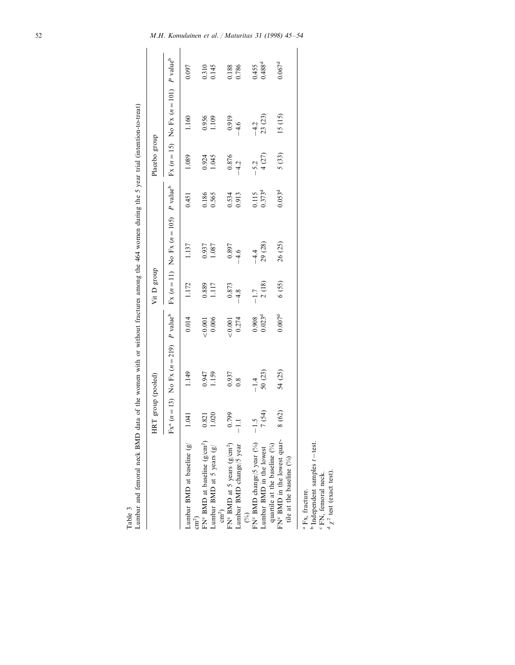|                                                                                                                                       | HRT group (pooled) |                                                          |                       | Vit D group          |                                                      |                             | Placebo group    |                                                          |                    |
|---------------------------------------------------------------------------------------------------------------------------------------|--------------------|----------------------------------------------------------|-----------------------|----------------------|------------------------------------------------------|-----------------------------|------------------|----------------------------------------------------------|--------------------|
|                                                                                                                                       |                    |                                                          |                       |                      |                                                      |                             |                  |                                                          |                    |
|                                                                                                                                       |                    | $Fx^{a} (n = 13)$ No Fx $(n = 219)$ P value <sup>b</sup> |                       |                      | Fx $(n = 11)$ No Fx $(n = 105)$ P value <sup>b</sup> |                             |                  | Fx ( $n = 15$ ) No Fx ( $n = 101$ ) P value <sup>b</sup> |                    |
| Lumbar BMD at baseline $(g)$<br>$\text{cm}^2$                                                                                         | 1.041              | 1.149                                                    | 0.014                 | 1.172                | 1.137                                                | 0.451                       | 1.089            | 1.160                                                    | 0.097              |
| FN° BMD at baseline $(g/cm2)$                                                                                                         |                    | 0.947                                                    |                       |                      | 0.937                                                |                             |                  |                                                          |                    |
| Lumbar BMD at 5 years (g/<br>$cm2$ )                                                                                                  | $.821$<br>$.020$   | 1.159                                                    | $\frac{0.001}{0.006}$ | 0.889<br>1.117       | 1.087                                                | 0.186<br>0.565              | $0.924$<br>1.045 | 0.956<br>1.109                                           | 0.310<br>0.145     |
| FN° BMD at 5 years $(g/cm2)$                                                                                                          | 799                |                                                          | $-0.001$              |                      |                                                      |                             |                  |                                                          |                    |
| Lumbar BMD change/5 year<br>$\widehat{\mathcal{E}}$                                                                                   |                    | $0.937$<br>0.8                                           | 0.274                 | $\frac{0.873}{-4.8}$ | $-4.6$                                               | 0.534<br>0.913              | $-4.2$           | $0.919$<br>-4.6                                          | 0.786              |
| FN° BMD change/5 year (%)                                                                                                             | $\ddot{\Omega}$    | $-1.4$                                                   |                       |                      |                                                      |                             | $-5.2$           |                                                          | 0.455              |
| quartile at the baseline (%)<br>Lumbar BMD in the lowest                                                                              | (54)               | 50 (23)                                                  | $0.908$<br>$0.023d$   | $-1.7$<br>2 (18)     | $-4.4$<br>29 (28)                                    | 0.115<br>0.373 <sup>d</sup> | 4(27)            | $-4.2$<br>23 (23)                                        | $0.488^{d}$        |
| FN° BMD in the lowest quar-<br>tile at the baseline $(%)$                                                                             | (62)               | 54 (25)                                                  | 0.007 <sup>d</sup>    | 6 (55)               | 26 (25)                                              | 0.053 <sup>d</sup>          | 5 (33)           | 15 (15)                                                  | 0.067 <sup>d</sup> |
| <sup>b</sup> Independent samples t-test.<br>d $.2$ and (considerable)<br><sup>c</sup> FN, femoral neck.<br><sup>a</sup> Fx, fracture. |                    |                                                          |                       |                      |                                                      |                             |                  |                                                          |                    |

Table 3<br>Lumbar and femoral neck BMD data of the women with or without fractures among the 464 women during the 5 year trial (intention-to-treat) Lumbar and femoral neck BMD data of the women with or without fractures among the 464 women during the 5 year trial (intention-to-treat)

52

 FN, femoral neck.  $\alpha^2$  test (exact test).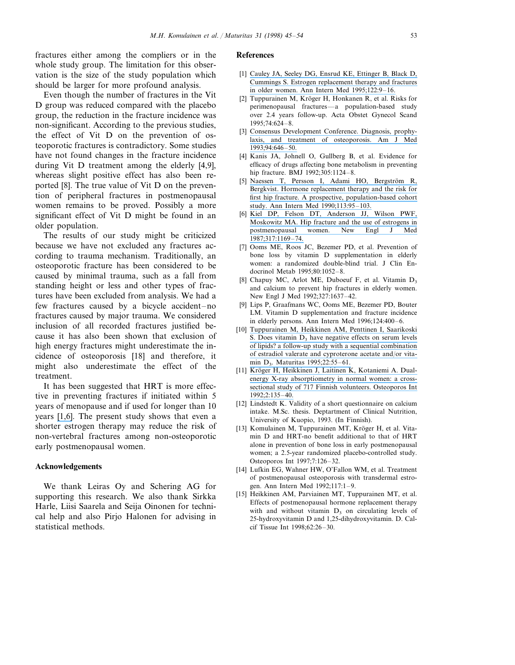fractures either among the compliers or in the whole study group. The limitation for this observation is the size of the study population which should be larger for more profound analysis.

Even though the number of fractures in the Vit D group was reduced compared with the placebo group, the reduction in the fracture incidence was non-significant. According to the previous studies, the effect of Vit D on the prevention of osteoporotic fractures is contradictory. Some studies have not found changes in the fracture incidence during Vit D treatment among the elderly [4,9], whereas slight positive effect has also been reported [8]. The true value of Vit D on the prevention of peripheral fractures in postmenopausal women remains to be proved. Possibly a more significant effect of Vit D might be found in an older population.

The results of our study might be criticized because we have not excluded any fractures according to trauma mechanism. Traditionally, an osteoporotic fracture has been considered to be caused by minimal trauma, such as a fall from standing height or less and other types of fractures have been excluded from analysis. We had a few fractures caused by a bicycle accident–no fractures caused by major trauma. We considered inclusion of all recorded fractures justified because it has also been shown that exclusion of high energy fractures might underestimate the incidence of osteoporosis [18] and therefore, it might also underestimate the effect of the treatment.

It has been suggested that HRT is more effective in preventing fractures if initiated within 5 years of menopause and if used for longer than 10 years [\[1,](https://www.researchgate.net/publication/315213007_Estrogen_Replacement_Therapy_and_Fractures_in_Older_Women?el=1_x_8&enrichId=rgreq-bf52dc1129406fa461e4417a104ddb89-XXX&enrichSource=Y292ZXJQYWdlOzI0NDIwMzI4O0FTOjEwMzIxNzExNTQzNTAyOUAxNDAxNjIwMjg2ODE0)[6\]](https://www.researchgate.net/publication/291093568_Hip_Fracture_and_the_Use_of_Estrogens_in_Postmenopausal_Women_The_Framingham_Study?el=1_x_8&enrichId=rgreq-bf52dc1129406fa461e4417a104ddb89-XXX&enrichSource=Y292ZXJQYWdlOzI0NDIwMzI4O0FTOjEwMzIxNzExNTQzNTAyOUAxNDAxNjIwMjg2ODE0). The present study shows that even a shorter estrogen therapy may reduce the risk of non-vertebral fractures among non-osteoporotic early postmenopausal women.

## **Acknowledgements**

We thank Leiras Oy and Schering AG for supporting this research. We also thank Sirkka Harle, Liisi Saarela and Seija Oinonen for technical help and also Pirjo Halonen for advising in statistical methods.

#### **References**

- [1] [Cauley JA, Seeley DG, Ensrud KE, Ettinger B, Black D,](https://www.researchgate.net/publication/315213007_Estrogen_Replacement_Therapy_and_Fractures_in_Older_Women?el=1_x_8&enrichId=rgreq-bf52dc1129406fa461e4417a104ddb89-XXX&enrichSource=Y292ZXJQYWdlOzI0NDIwMzI4O0FTOjEwMzIxNzExNTQzNTAyOUAxNDAxNjIwMjg2ODE0) [Cummings S. Estrogen replacement therapy and fractures](https://www.researchgate.net/publication/315213007_Estrogen_Replacement_Therapy_and_Fractures_in_Older_Women?el=1_x_8&enrichId=rgreq-bf52dc1129406fa461e4417a104ddb89-XXX&enrichSource=Y292ZXJQYWdlOzI0NDIwMzI4O0FTOjEwMzIxNzExNTQzNTAyOUAxNDAxNjIwMjg2ODE0) [in older women. Ann Intern Med 1995;122:9–16.](https://www.researchgate.net/publication/315213007_Estrogen_Replacement_Therapy_and_Fractures_in_Older_Women?el=1_x_8&enrichId=rgreq-bf52dc1129406fa461e4417a104ddb89-XXX&enrichSource=Y292ZXJQYWdlOzI0NDIwMzI4O0FTOjEwMzIxNzExNTQzNTAyOUAxNDAxNjIwMjg2ODE0)
- [2] Tuppurainen M, Kröger H, Honkanen R, et al. Risks for perimenopausal fractures—a population-based study over 2.4 years follow-up. Acta Obstet Gynecol Scand 1995;74:624–8.
- [3] [Consensus Development Conference. Diagnosis, prophy](https://www.researchgate.net/publication/303483124_Diagnosis_prophylaxis_and_treatment_of_osteoporosis?el=1_x_8&enrichId=rgreq-bf52dc1129406fa461e4417a104ddb89-XXX&enrichSource=Y292ZXJQYWdlOzI0NDIwMzI4O0FTOjEwMzIxNzExNTQzNTAyOUAxNDAxNjIwMjg2ODE0)[laxis, and treatment of osteoporosis. Am J Med](https://www.researchgate.net/publication/303483124_Diagnosis_prophylaxis_and_treatment_of_osteoporosis?el=1_x_8&enrichId=rgreq-bf52dc1129406fa461e4417a104ddb89-XXX&enrichSource=Y292ZXJQYWdlOzI0NDIwMzI4O0FTOjEwMzIxNzExNTQzNTAyOUAxNDAxNjIwMjg2ODE0) [1993;94:646–50.](https://www.researchgate.net/publication/303483124_Diagnosis_prophylaxis_and_treatment_of_osteoporosis?el=1_x_8&enrichId=rgreq-bf52dc1129406fa461e4417a104ddb89-XXX&enrichSource=Y292ZXJQYWdlOzI0NDIwMzI4O0FTOjEwMzIxNzExNTQzNTAyOUAxNDAxNjIwMjg2ODE0)
- [4] Kanis JA, Johnell O, Gullberg B, et al. Evidence for efficacy of drugs affecting bone metabolism in preventing hip fracture. BMJ 1992;305:1124–8.
- [5] Naessen T, Persson I, Adami HO, Bergström R, [Bergkvist. Hormone replacement therapy and the risk for](https://www.researchgate.net/publication/20794849_Hormone_Replacement_Therapy_and_the_Risk_for_First_Hip_Fracture_A_Prospective_Population-based_Cohort_Study?el=1_x_8&enrichId=rgreq-bf52dc1129406fa461e4417a104ddb89-XXX&enrichSource=Y292ZXJQYWdlOzI0NDIwMzI4O0FTOjEwMzIxNzExNTQzNTAyOUAxNDAxNjIwMjg2ODE0) [first hip fracture. A prospective, population-based cohort](https://www.researchgate.net/publication/20794849_Hormone_Replacement_Therapy_and_the_Risk_for_First_Hip_Fracture_A_Prospective_Population-based_Cohort_Study?el=1_x_8&enrichId=rgreq-bf52dc1129406fa461e4417a104ddb89-XXX&enrichSource=Y292ZXJQYWdlOzI0NDIwMzI4O0FTOjEwMzIxNzExNTQzNTAyOUAxNDAxNjIwMjg2ODE0) [study. Ann Intern Med 1990;113:95–103.](https://www.researchgate.net/publication/20794849_Hormone_Replacement_Therapy_and_the_Risk_for_First_Hip_Fracture_A_Prospective_Population-based_Cohort_Study?el=1_x_8&enrichId=rgreq-bf52dc1129406fa461e4417a104ddb89-XXX&enrichSource=Y292ZXJQYWdlOzI0NDIwMzI4O0FTOjEwMzIxNzExNTQzNTAyOUAxNDAxNjIwMjg2ODE0)
- [6] [Kiel DP, Felson DT, Anderson JJ, Wilson PWF,](https://www.researchgate.net/publication/291093568_Hip_Fracture_and_the_Use_of_Estrogens_in_Postmenopausal_Women_The_Framingham_Study?el=1_x_8&enrichId=rgreq-bf52dc1129406fa461e4417a104ddb89-XXX&enrichSource=Y292ZXJQYWdlOzI0NDIwMzI4O0FTOjEwMzIxNzExNTQzNTAyOUAxNDAxNjIwMjg2ODE0) [Moskowitz MA. Hip fracture and the use of estrogens in](https://www.researchgate.net/publication/291093568_Hip_Fracture_and_the_Use_of_Estrogens_in_Postmenopausal_Women_The_Framingham_Study?el=1_x_8&enrichId=rgreq-bf52dc1129406fa461e4417a104ddb89-XXX&enrichSource=Y292ZXJQYWdlOzI0NDIwMzI4O0FTOjEwMzIxNzExNTQzNTAyOUAxNDAxNjIwMjg2ODE0) [postmenopausal women. New Engl J Med](https://www.researchgate.net/publication/291093568_Hip_Fracture_and_the_Use_of_Estrogens_in_Postmenopausal_Women_The_Framingham_Study?el=1_x_8&enrichId=rgreq-bf52dc1129406fa461e4417a104ddb89-XXX&enrichSource=Y292ZXJQYWdlOzI0NDIwMzI4O0FTOjEwMzIxNzExNTQzNTAyOUAxNDAxNjIwMjg2ODE0) [1987;317:1169–74.](https://www.researchgate.net/publication/291093568_Hip_Fracture_and_the_Use_of_Estrogens_in_Postmenopausal_Women_The_Framingham_Study?el=1_x_8&enrichId=rgreq-bf52dc1129406fa461e4417a104ddb89-XXX&enrichSource=Y292ZXJQYWdlOzI0NDIwMzI4O0FTOjEwMzIxNzExNTQzNTAyOUAxNDAxNjIwMjg2ODE0)
- [7] Ooms ME, Roos JC, Bezemer PD, et al. Prevention of bone loss by vitamin D supplementation in elderly women: a randomized double-blind trial. J Clin Endocrinol Metab 1995;80:1052–8.
- [8] Chapuy MC, Arlot ME, Duboeuf F, et al. Vitamin  $D_3$ and calcium to prevent hip fractures in elderly women. New Engl J Med 1992;327:1637–42.
- [9] Lips P, Graafmans WC, Ooms ME, Bezemer PD, Bouter LM. Vitamin D supplementation and fracture incidence in elderly persons. Ann Intern Med 1996;124:400–6.
- [10] [Tuppurainen M, Heikkinen AM, Penttinen I, Saarikoski](https://www.researchgate.net/publication/15531975_Does_vitamin_D3_have_negative_effects_on_serum_levels_of_lipids_A_follow-up_study_with_a_sequential_combination_of_estradiol_valerate_and_cyproterone_acetate_andor_vitamin_D3?el=1_x_8&enrichId=rgreq-bf52dc1129406fa461e4417a104ddb89-XXX&enrichSource=Y292ZXJQYWdlOzI0NDIwMzI4O0FTOjEwMzIxNzExNTQzNTAyOUAxNDAxNjIwMjg2ODE0) S. Does vitamin  $D_3$  [have negative effects on serum levels](https://www.researchgate.net/publication/15531975_Does_vitamin_D3_have_negative_effects_on_serum_levels_of_lipids_A_follow-up_study_with_a_sequential_combination_of_estradiol_valerate_and_cyproterone_acetate_andor_vitamin_D3?el=1_x_8&enrichId=rgreq-bf52dc1129406fa461e4417a104ddb89-XXX&enrichSource=Y292ZXJQYWdlOzI0NDIwMzI4O0FTOjEwMzIxNzExNTQzNTAyOUAxNDAxNjIwMjg2ODE0) [of lipids? a follow-up study with a sequential combination](https://www.researchgate.net/publication/15531975_Does_vitamin_D3_have_negative_effects_on_serum_levels_of_lipids_A_follow-up_study_with_a_sequential_combination_of_estradiol_valerate_and_cyproterone_acetate_andor_vitamin_D3?el=1_x_8&enrichId=rgreq-bf52dc1129406fa461e4417a104ddb89-XXX&enrichSource=Y292ZXJQYWdlOzI0NDIwMzI4O0FTOjEwMzIxNzExNTQzNTAyOUAxNDAxNjIwMjg2ODE0) [of estradiol valerate and cyproterone acetate and](https://www.researchgate.net/publication/15531975_Does_vitamin_D3_have_negative_effects_on_serum_levels_of_lipids_A_follow-up_study_with_a_sequential_combination_of_estradiol_valerate_and_cyproterone_acetate_andor_vitamin_D3?el=1_x_8&enrichId=rgreq-bf52dc1129406fa461e4417a104ddb89-XXX&enrichSource=Y292ZXJQYWdlOzI0NDIwMzI4O0FTOjEwMzIxNzExNTQzNTAyOUAxNDAxNjIwMjg2ODE0)/or vitamin D<sub>3</sub>. Maturitas 1995;22:55-61.
- [11] Kröger H, Heikkinen J, Laitinen K, Kotaniemi A. Dual[energy X-ray absorptiometry in normal women: a cross](https://www.researchgate.net/publication/21527633_Dual-energy_X-ray_absorptiometry_in_normal_women_A_cross-sectional_study_of_717_finnish_volunteers?el=1_x_8&enrichId=rgreq-bf52dc1129406fa461e4417a104ddb89-XXX&enrichSource=Y292ZXJQYWdlOzI0NDIwMzI4O0FTOjEwMzIxNzExNTQzNTAyOUAxNDAxNjIwMjg2ODE0)[sectional study of 717 Finnish volunteers. Osteoporos Int](https://www.researchgate.net/publication/21527633_Dual-energy_X-ray_absorptiometry_in_normal_women_A_cross-sectional_study_of_717_finnish_volunteers?el=1_x_8&enrichId=rgreq-bf52dc1129406fa461e4417a104ddb89-XXX&enrichSource=Y292ZXJQYWdlOzI0NDIwMzI4O0FTOjEwMzIxNzExNTQzNTAyOUAxNDAxNjIwMjg2ODE0) [1992;2:135–40.](https://www.researchgate.net/publication/21527633_Dual-energy_X-ray_absorptiometry_in_normal_women_A_cross-sectional_study_of_717_finnish_volunteers?el=1_x_8&enrichId=rgreq-bf52dc1129406fa461e4417a104ddb89-XXX&enrichSource=Y292ZXJQYWdlOzI0NDIwMzI4O0FTOjEwMzIxNzExNTQzNTAyOUAxNDAxNjIwMjg2ODE0)
- [12] Lindstedt K. Validity of a short questionnaire on calcium intake. M.Sc. thesis. Deptartment of Clinical Nutrition, University of Kuopio, 1993. (In Finnish).
- [13] Komulainen M, Tuppurainen MT, Kröger H, et al. Vitamin D and HRT-no benefit additional to that of HRT alone in prevention of bone loss in early postmenopausal women; a 2.5-year randomized placebo-controlled study. Osteoporos Int 1997;7:126–32.
- [14] Lufkin EG, Wahner HW, O'Fallon WM, et al. Treatment of postmenopausal osteoporosis with transdermal estrogen. Ann Intern Med 1992;117:1–9.
- [15] Heikkinen AM, Parviainen MT, Tuppurainen MT, et al. Effects of postmenopausal hormone replacement therapy with and without vitamin  $D_3$  on circulating levels of 25-hydroxyvitamin D and 1,25-dihydroxyvitamin. D. Calcif Tissue Int 1998;62:26–30.